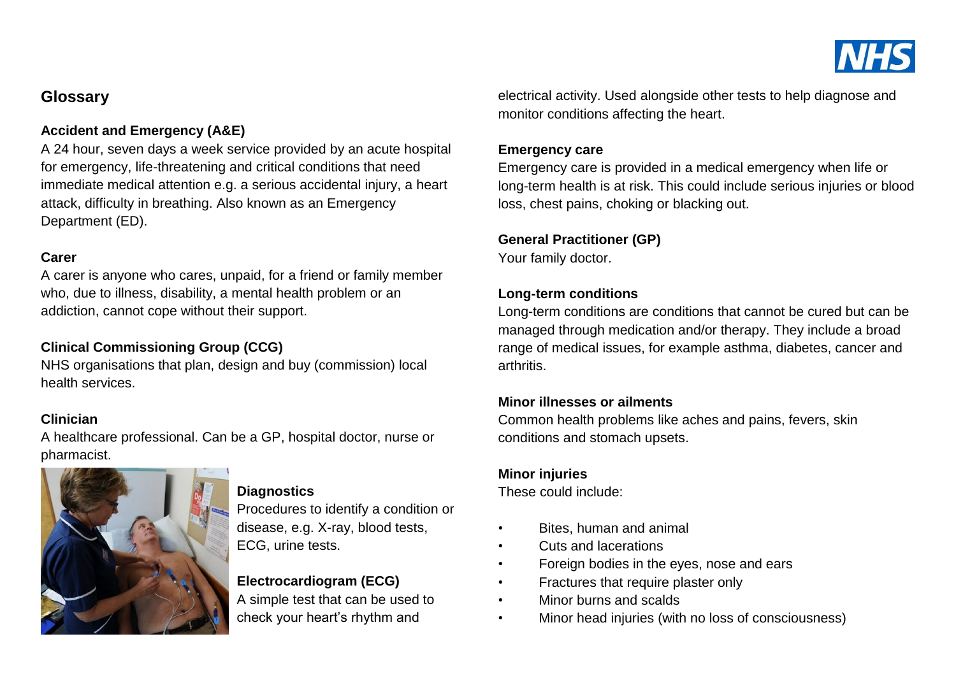

# **Glossary**

# **Accident and Emergency (A&E)**

A 24 hour, seven days a week service provided by an acute hospital for emergency, life-threatening and critical conditions that need immediate medical attention e.g. a serious accidental injury, a heart attack, difficulty in breathing. Also known as an Emergency Department (ED).

#### **Carer**

A carer is anyone who cares, unpaid, for a friend or family member who, due to illness, disability, a mental health problem or an addiction, cannot cope without their support.

# **Clinical Commissioning Group (CCG)**

NHS organisations that plan, design and buy (commission) local health services.

# **Clinician**

A healthcare professional. Can be a GP, hospital doctor, nurse or pharmacist.



#### **Diagnostics**

Procedures to identify a condition or disease, e.g. X-ray, blood tests, ECG, urine tests.

# **Electrocardiogram (ECG)**

A simple test that can be used to check your heart's rhythm and

electrical activity. Used alongside other tests to help diagnose and monitor conditions affecting the heart.

#### **Emergency care**

Emergency care is provided in a medical emergency when life or long-term health is at risk. This could include serious injuries or blood loss, chest pains, choking or blacking out.

#### **General Practitioner (GP)**

Your family doctor.

#### **Long-term conditions**

Long-term conditions are conditions that cannot be cured but can be managed through medication and/or therapy. They include a broad range of medical issues, for example asthma, diabetes, cancer and arthritis.

#### **Minor illnesses or ailments**

Common health problems like aches and pains, fevers, skin conditions and stomach upsets.

#### **Minor injuries**

These could include:

- Bites, human and animal
- Cuts and lacerations
- Foreign bodies in the eyes, nose and ears
- Fractures that require plaster only
- Minor burns and scalds
- Minor head injuries (with no loss of consciousness)